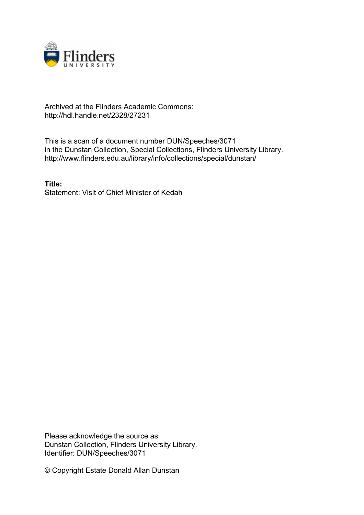

## Archived at the Flinders Academic Commons: http://hdl.handle.net/2328/27231

This is a scan of a document number DUN/Speeches/3071 in the Dunstan Collection, Special Collections, Flinders University Library. http://www.flinders.edu.au/library/info/collections/special/dunstan/

**Title:** Statement: Visit of Chief Minister of Kedah

Please acknowledge the source as: Dunstan Collection, Flinders University Library. Identifier: DUN/Speeches/3071

© Copyright Estate Donald Allan Dunstan